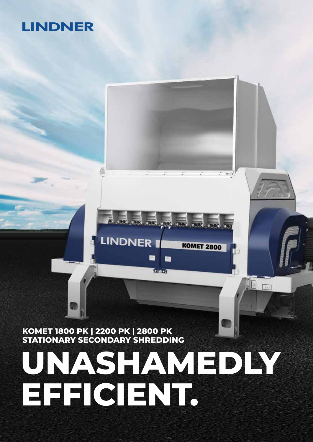# **LINDNER**

**KOMET 1800 PK | 2200 PK | 2800 PK STATIONARY SECONDARY SHREDDING**

# **UNASHAMEDLY EFFICIENT.**

高点点点点点

e

Berner)

**KOMET 2800** 

TA

**LINDNER**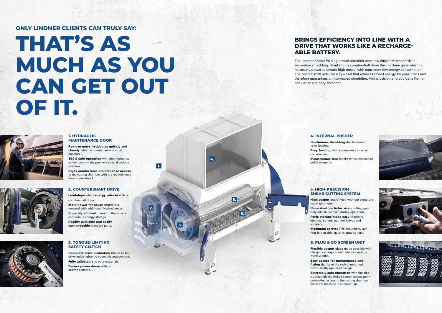**1.**

**2.**

**3.**

**4.**

**5.**

**6.**

# **THAT'S AS MUCH AS YOU CAN GET OUT OF IT.**



### **ONLY LINDNER CLIENTS CAN TRULY SAY:**

## **BRINGS EFFICIENCY INTO LINE WITH A DRIVE THAT WORKS LIKE A RECHARGE-ABLE BATTERY.**

The Lindner Komet PK single-shaft shredder sets new efficiency standards in secondary shredding. Thanks to its countershaft drive this machine generates the necessary power to ensure high output with consistent low energy consumption. The countershaft acts like a flywheel that releases stored energy for peak loads and therefore guarantees uninterrupted shredding. Add precision and you get a Komet, not just an ordinary shredder.

100% safe operation with the mechanical safety lock and the pusher's special parking position.

#### **1. HYDRAULIC MAINTENANCE DOOR**

Remove non-shreddables quickly and cleanly with the maintenance door at position 2.

Enjoy comfortable maintenance access to the cutting chamber with the maintenance door at position 3.

> Consistent particles size - cutting gap fully adjustable even during operation. Parts storage made easy thanks to identical cutters, counter knives and

#### **2. COUNTERSHAFT DRIVE**

Load-dependent energy release with our countershaft drive.

> Flexible output sizes made possible with our quick-change screen units in various





More power for tough materials ensured with additional flywheel mass. Superbly efficient thanks to the drive's continuous energy storage. Readily available and easily exchangeable standard parts.



#### **3. TORQUE-LIMITING SAFETY CLUTCH**

Complete drive protection thanks to the drive unit's lightning-speed disengagement. Fully adjustable to your materials. Secure power down with our proven sensors.

#### **4. INTERNAL PUSHER**

Continuous shredding due to smooth

rotor feeding. construction.

Easy feeding with a completely internal

Maintenance-free thanks to the absence of



**High output** guaranteed with our signature

guide elements.

#### **5. HIGH-PRECISION SHEAR CUTTING SYSTEM**

cutter geometry.

scrapers.

Maximum service life ensured by our four-fold usable, quick-change cutters.

#### **6. PLUG & GO SCREEN UNIT**

mesh widths.

Easy access for maintenance and fitting thanks to the swivel-mounted, hydraulically operated design.

Extremely safe operation with the electromagnetically locked screen access point, preventing access to the cutting chamber while the machine is in operation.